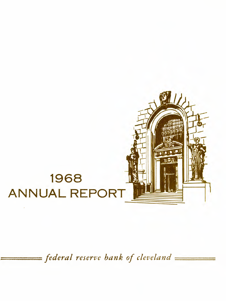

# $=$  *federal reserve bank of cleveland*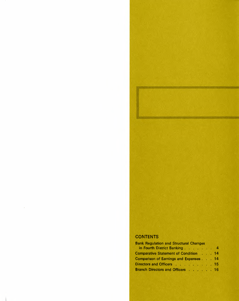# **CONTENTS**

 $\bar{y}$ 

| <b>Bank Regulation and Structural Changes</b> |  |  |
|-----------------------------------------------|--|--|
| in Fourth District Banking 4                  |  |  |
| Comparative Statement of Condition 14         |  |  |
| Comparison of Earnings and Expenses 14        |  |  |
| Directors and Officers 15                     |  |  |
| Branch Directors and Officers 16              |  |  |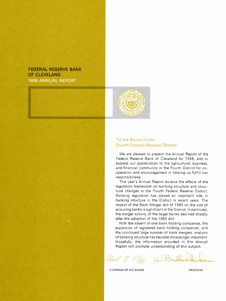# **FEDERAL RESERVE BANK OF CLEVELAND 1968 ANNUAL REPORT**



# **To the Banks in the Fourth Federal Reserve District:**

We are pleased to present the Annual Report of the Federal Reserve Bank of Cleveland for 1968, and to express our appreciation to the agricultural, business, and financial community in the Fourth District for cooperation and encouragement in helping us fulfill our responsibilities.

This year's Annual Report reviews the effects of the regulatory framework on banking structure and structural changes in the Fourth Federal Reserve District. Banking regulation has played an important role in banking structure in the District in recent years. The impact of the Bank Merger Act of 1960 on the size of acquiring banks is significant in the District. In particular, the merger activity of the larger banks declined sharply after the adoption of the 1960 Act.

With the advent of one-bank holding companies, the expansion of registered bank holding companies, and the continued large number of bank mergers, analysis of banking structure has become increasingly important. Hopefully, the information provided in this Annual Report will promote understanding of this subject.

Clay Co. Brodo

CHAIRMAN OF THE BOARD PRESIDENT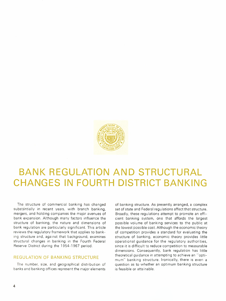

# **BANK REGULATION AND STRUCTURAL CHANGES IN FOURTH DISTRICT BANKING**

The structure of commercial banking has changed substantially in recent years, with branch banking, mergers, and holding companies the major avenues of bank expansion. Although many factors influence the structure of banking, the nature and dimensions of bank regulation are particularly significant. This article reviews the regulatory framework that applies to banking structure and, against that background, examines structural changes in banking in the Fourth Federal Reserve District during the 1954-1967 period.

## **REGULATION OF BANKING STRUCTURE**

The number, size, and geographical distribution of banks and banking offices represent the major elements

of banking structure. As presently arranged. a complex set of state and Federal regulations affect that structure. Broadly, these regulations attempt to promote an efficient banking system, one that affords the largest possible volume of banking services to the public at the lowest possible cost. Although the economic theory of competition provides a standard for evaluating the structure of banking, economic theory provides little operational guidance for the regulatory authorities, since it is difficult to reduce competition to measurable dimensions. Consequently, bank regulation has little theoretical guidance in attempting to achieve an "optimum" banking structure. Ironically. there is even a question as to whether an optimum banking structure is feasible or attainable.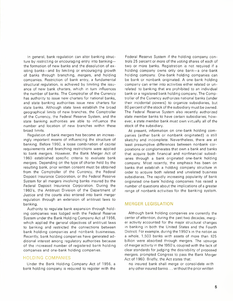In general, bank regulation can alter banking structure by restricting or encouraging entry into bankingthe formation of new banks and the dissolution of existing banks-and by limiting or encouraging growth of banks through branching, mergers, and holding companies. Restriction of bank entry, a fundamental structural regulation, is achieved by limiting the issuance of new bank charters, which in turn influences the number of banks. The Comptroller of the Currency has authority to issue new charters for national banks, and state banking authorities issue new charters for state banks. Although state laws establish the broad geographical limits of new branches, the Comptroller of the Currency, the Federal Reserve System, and the state banking authorities are able to influence the number and location of new branches within these broad limits.

Regulation of bank mergers has become an increasingly important means of influencing the structure of banking. Before 1960, a loose combination of capital requirements and branching restrictions were applied to bank mergers. However, the Bank Merger Act of 1960 established specific criteria to evaluate bank mergers. Depending on the type of charter held by the resulting bank, prior written consent must be obtained from the Comptroller of the Currency, the Federal Deposit Insurance Corporation, or the Federal Reserve System for all mergers involving banks insured by the Federal Deposit Insurance Corporation. During the 1960's, the Antitrust Division of the Department of Justice and the courts also entered into bank merger regulation through an extension of antitrust laws to banking.

Authority to regulate bank expansion through holding companies was lodged with the Federal Reserve System under the Bank Holding Company Act of 1956, which applied the general objectives of antitrust laws to banking and restricted the connections between bank holding companies and nonbank businesses. Recently, bank holding companies have generated additional interest among regulatory authorities because of the increased number of registered bank holding companies and one-bank holding companies.

### **HOLDING COMPANIES**

Under the Bank Holding Company Act of 1956, a bank holding company is required to register with the

Federal Reserve System if the holding company controls 25 percent or more of the voting shares of each of two or more banks. Registration is not required if a holding company owns only one bank-a one-bank holding company. One-bank holding companies can be bank or nonbank originated. A one-bank holding company can enter into activities either related or unrelated to banking that are prohibited to an individual bank or a registered bank holding company. The Comptroller of the Currency authorizes national banks (under their incidental powers) to organize subsidiaries, but 80 percent of the stock of the subsidiary must be owned. The Federal Reserve System also recently authorized state member banks to have certain subsidiaries; however, a state member bank must own virtually all of the stock of the subsidiary.

At present. information on one-bank holding companies (either bank or nonbank originated) is still sketchy and incomplete. Nevertheless, there are at least presumptive differences between nonbank corporations or conglomerates that own a bank and banks that acquire both financial and nonfinancial subsidiaries through a bank originated one-bank holding company. Most recently, the emphasis has been on banks that establish a holding company structure in order to acquire both related and unrelated business subsidiaries. The rapidly increasing popularity of bank originated one-bank 'holding companies has raised a number of questions about the implications of a greater range of nonbank activities for the banking system.

## **MERGER LEGISLATION**

Although bank holding companies are currently the center of attention, during the past two decades, merger activity accounted for the major structural changes in banking in both the United States and the Fourth District. For example, during the 1950's in the nation as a whole, 1,503 banks with assets of more than \$25 billion were absorbed through mergers. The upsurge of merger activity in the 1950's, coupled with the lack of clear standards for judging the desirability of proposed mergers, prompted Congress to pass the Bank Merger Act of 1960. Briefly, the Act states that:

no insured bank shall merge or consolidate with any other insured banks ... without the prior written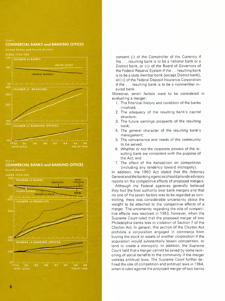

#### Chart 2.

## **COMMERCIAL BANKS and BANKING OFFICES**

Fourth District



consent (i) of the Comptroller of the Currency if the ... resulting bank is to be a national bank or a District bank, or (ii) of the Board of Governors of the Federal Reserve System if the ... resulting bank is to be a state member bank (except District bank), or(iii) of the Federal Deposit Insurance Corporation if the ... resulting bank is to be a nonmember insured bank.

Moreover, seven factors were to be considered in evaluating a merger:

- 1. The financial history and condition of the banks involved;
- 2. The adequacy of the resulting bank's capital structure:
- 3. The future earnings prospects of the resulting bank;
- 4. The general character of the resulting bank's management;
- 5. The convenience and needs of the community to be served;
- 6. Whether or not the corporate powers of the resulting bank are consistent with the purpose of the Act; and
- 7. The effect of the transaction on competition (including any tendency toward monopoly).

In addition, the 1960 Act stated that the Attorney General and the banking agencies should provide advisory reports on the competitive effects of proposed mergers.

Although the Federal agencies generally believed they had the final authority over bank mergers and that no one of the seven factors was to be regarded as controlling, there was considerable uncertainty about the weight to be attached to the competitive effects of a merger. The uncertainty regarding the role of competitive effects was resolved in 1963, however, when the Supreme Court ruled that the proposed merger of two Philadelphia banks was in violation of Section 7 of the Clayton Act. In general, this section of the Clayton Act prohibits a corporation engaged in commerce from buying the stock or assets of another corporation if the acquisition would substantially lessen competition, or tend to create a monopoly. In addition, the Supreme Court held that a merger cannot be saved by some reckoning of social benefits to the community if the merger violates antitrust laws. The Supreme Court further defined the role of competition and antitrust laws in 1964, when it ruled against the proposed merger of two banks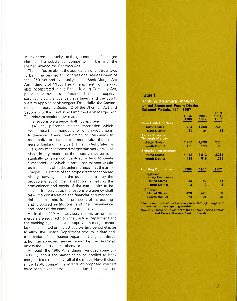in Lexington, Kentucky, on the grounds that, if a merger eliminated a substantial competitor in banking, the merger violated the Sherman Act.

The confusion about the application of antitrust laws to bank mergers led to Congressional reassessment of the 1960 Act and eventually to the Bank Merger Act Amendment of 1966. The Amendment, which was also incorporated in the Bank Holding Company Act presented a revised set of standards that the supervisory agencies, the Justice Department, and the courts were to apply to bank mergers. Essentially, the Amendment incorporates Section 2 of the Sherman Act and Section 7 of the Clayton Act into the Bank Merger Act. The relevant section now reads:

The responsible agency shall not approve

(A) any proposed merger transaction which would result in a monopoly, or which would be in furtherance of any combination or conspiracy to monopolize or to attempt to monopolize the business of banking in any part of the United States, or

(B) any other proposed merger transaction whose effect in any section of the country may be substantially to lessen competition, or tend to create a monopoly, or which in any other manner would be in restraint of trade, unless it finds that the anticompetitive effects of the proposed transaction are clearly outweighed in the public interest by the probable effect of the transaction in meeting the convenience and needs of the community to be served. In every case, the responsible agency shall take into consideration the financial and managerial resources and future prospects of the existing and proposed institutions, and the convenience and needs of the community to be served.

As in the 1960 Act, advisory reports on proposed mergers are required from the Justice Department and the banking agencies. After approval, a merger cannot be consummated until a 30-day waiting period elapses to allow the Justice Department time to initiate antitrust action. If the Justice Department begins antitrust action, an approved merger cannot be consummated, unless the court orders otherwise.

Although the 1966 Amendment removed some uncertainty about the standards to be applied to bank mergers, it did not resolve all of the issues. Nevertheless, since 1966, competitive effects of proposed mergers have been given prime consideration. If there are no

#### **Table I**

#### **Banking Structure Changes United States and Fourth District** Selected Periods, 1954-1967

|                                                | 1954-<br>1960  | $1961 -$<br>1967. | Total<br>1954-<br>1967 |
|------------------------------------------------|----------------|-------------------|------------------------|
| <b>New Bank Charters</b>                       |                |                   |                        |
| <b>United States</b>                           | 734            | 1,358             | 2,092                  |
| <b>Fourth District</b>                         | 12             | 24                | 36                     |
| <b>Banks Absorbed</b><br><b>Through Merger</b> |                |                   |                        |
| <b>United States</b>                           | 1,250          | 1,038             | 2,288                  |
| <b>Fourth District</b>                         | 151            | 129               | 280                    |
| <b>Branches Established</b> *                  |                |                   |                        |
| <b>United States</b>                           | 4,452          | 7,812             | 12,264                 |
| <b>Fourth District</b>                         | 499            | 516               | 1,215                  |
| <b>Holding Companies</b>                       | 1956           | 1960              | 1967                   |
| <b>Registered</b><br><b>Holding Companies</b>  |                |                   |                        |
| <b>United States</b>                           | 53             | 47                | 74                     |
| <b>Fourth District</b>                         | $\overline{2}$ | $\overline{2}$    | з                      |
| <b>Affiliates</b>                              |                |                   |                        |
| <b>United States</b>                           | 428            | 426               | 603                    |
| <b>Fourth District</b>                         | 23             | 24                | 29                     |
|                                                |                |                   |                        |

**• Includes conversion of banksacquired through merger Into branches** of the acquiring institution.

**Sources: Board of Governors of the Federal Reserve System and Federal Reserve Bank of Cleveland**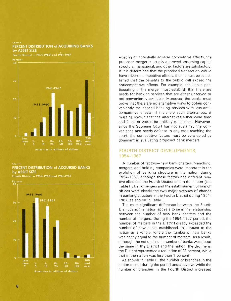#### Chart 3. PERCENT DISTRIBUTION of ACQUIRING BANKS by ASSET SIZE

Fourth District - 1954-1960 and 1961-1967



#### Chart 4. PERCENT DISTRIBUTION of ACQUIRED BANKS by ASSET SIZE

Fourth District - 1954-1960 and 1961-1967



existing or potentially adverse competitive effects, the proposed merger is usually approved, assuming capital structure, managerial, and other factors are satisfactory. If it is determined that the proposed transaction would have adverse competitive effects, then it must be established that the benefits to the public will exceed the anticompetitive effects. For example, the banks participating in the merger must establish that there are needs for banking services that are either unserved or not conveniently available. Moreover, the banks must prove that there are no alternative ways to obtain conveniently the needed banking services with less anticompetitive effects. If there are such alternatives, it must be shown that the alternatives either were tried and failed or would be unlikely to succeed. However, since the Supreme Court has not sustained the convenience and needs defense in any case reaching the court. the competitive factors must be considered as dominant in evaluating proposed bank mergers.

## **FOURTH DISTRICT DEVELOPMENTS, 1954-1967**

A number of factors-new bank charters, branching, mergers, and holding companies were important in the evolution of banking structure in the nation during 1954-1967, although these factors had different relative effects in the Fourth District and in the nation (see Table I). Bank mergers and the establishment of branch offices were clearly the two major avenues of change in banking structure in the Fourth District during 1954- 1967, as shown in Table I.

The most significant difference between the Fourth District and the nation appears to be in the relationship between the number of new bank charters and the number of mergers. During the 1954-1967 period, the number of mergers in the District greatly exceeded the number of new banks established, in contrast to the nation as a whole, where the number of new banks was nearly equal to the number of mergers. As a result. although the net decline in number of banks was about the same in the District and the nation, the decline in the District represented a reduction of 23 percent. while that in the nation was less than 1 percent.

As shown in Table II, the number of branches in the nation tripled during the period under review, while the number of branches in the Fourth District increased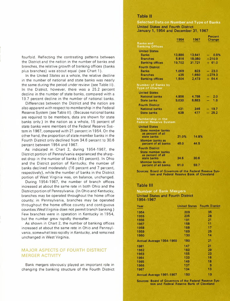fourfold. Reflecting the contrasting patterns between the District and the nation in the number of banks and branches, the relative growth of banking offices (banks plus branches) was about equal (see Chart 1).

In the United States as a whole, the relative decline in the number of national and state banks was nearly the same during the period under review (see Table II). In the District, however, there was a 25.2 percent decline in the number of state banks, compared with a 19.7 percent decline in the number of national banks.

Differences between the District and the nation are also apparent with respect to membership in the Federal Reserve System (see Table II). (Because national banks are required to be members, data are shown for state banks only.) In the nation as a whole, 15 percent of state banks were members of the Federal Reserve System in 1967, compared with 21 percent in 1954. On the other hand, the proportion of state member banks in the Fourth District only declined from 34.6 percent to 30.6 percent between 1954 and 1967.

As indicated in Chart 2, during 1954-1967, the District portion of Pennsylvania experienced the sharpest drop in the number of banks (43 percent). In Ohio and the District portion of Kentucky, the number of banks declined moderately (16 percent and 7 percent, respectively), while the number of banks in the District portion of West Virginia was, on balance, unchanged.

During 1954-1967, the number of branch offices increased at about the same rate in both Ohio and the District portion of Pennsylvania. (In Ohio and Kentucky, branches may be operated throughout the home office county; in Pennsylvania, branches may be operated throughout the home office county and contiguous counties.WestVirginia does not permit branch banking.) Few branches were in operation in Kentucky in 1954, but the number grew rapidly thereafter.

As shown in Chart 2, the number of banking offices increased at about the same rate in Ohio and Pennsylvania, somewhat less rapidly in Kentucky, and remained unchanged in West Virginia.

# **MAJOR ASPECTS OF FOURTH DISTRICT MERGER ACTIVITY**

Bank mergers obviously played an important role in changing the banking structure of the Fourth District

## **Table II**

**Selected Data on Number and Type of Banks United States and Fourth District January 1, 1954 and December 31, 1967**

|                                                     | 1954   | 1967   | Percent   |
|-----------------------------------------------------|--------|--------|-----------|
|                                                     |        |        | Change    |
| <b>Banks and</b>                                    |        |        |           |
| <b>Banking Offices</b>                              |        |        |           |
| <b>United States</b>                                |        |        |           |
| <b>Banks</b>                                        | 13,886 | 13,641 | $-0.8%$   |
| <b>Branches</b>                                     | 5,816  | 18,080 | $+210.9$  |
| <b>Banking offices</b>                              | 19.702 | 31.721 | $+ 61.0$  |
| <b>Fourth District</b>                              |        |        |           |
| Banks                                               | 1,069  | 823    | $-23.0$   |
| <b>Branches</b>                                     | 435    | 1,650  | $+279.3$  |
| <b>Banking offices</b>                              | 1,504  | 2,473  | $+ 64.4$  |
| <b>Number of Banks by</b><br><b>Type of Charter</b> |        |        |           |
| <b>United States</b>                                |        |        |           |
| <b>National banks</b>                               | 4,856  | 4.758  | $-2.0$    |
| <b>State banks</b>                                  | 9.030  | 8,883  | 1.6<br>÷, |
| <b>Fourth District</b>                              |        |        |           |
| <b>National banks</b>                               | 431    | 346    | $-19.7$   |
| <b>State banks</b>                                  | 638    | 477    | $-25.2$   |
| Membership in the<br>Federal Reserve System         |        |        |           |

| <b>United States</b><br>State member banks                                       |       |       |
|----------------------------------------------------------------------------------|-------|-------|
| as percent of all<br>state banks                                                 | 21.0% | 14.8% |
| Member banks as<br>percent of all banks                                          | 48.0  | 44.5  |
| <b>Fourth District</b><br>State member banks<br>as percent of all<br>state banks | 34.6  | 30.6  |
| Member banks as<br>percent of all banks                                          | 61.0  | 59.7  |

**Sources: Board of Governors of the Federal Reserve System and Federal Reserve Bank of Cleveland**

## **Table III**

#### **Number of Bank Mergers United States and Fourth District 1954-1967**

| Year                     |     | <b>United States Fourth District</b> |
|--------------------------|-----|--------------------------------------|
| 1954                     | 209 | 35                                   |
| 1955                     | 235 | 28                                   |
| 1956                     | 191 | 21                                   |
| 1957                     | 158 | 11                                   |
| 1958                     | 158 | 17                                   |
| 1959                     | 169 | 25                                   |
| 1960                     | 130 | 14                                   |
| Annual Average 1954-1960 | 180 | 21                                   |
| 1961                     | 147 | 21                                   |
| 1962                     | 183 | 29                                   |
| 1963                     | 155 | 23                                   |
| 1964                     | 133 | 16                                   |
| 1965                     | 149 | 18                                   |
| 1966                     | 137 | 9                                    |
| 1967                     | 134 | 13                                   |
| Annual Average 1961-1967 | 150 | 19                                   |

**Sources: Board of Governors of the Federal Reserve System and Federal Reserve Bank of Cleveland**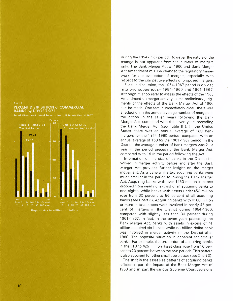Chart 5

## PERCENT DISTRIBUTION of COMMERCIAL **BANKS by DEPOSIT SIZE**

Fourth District and United States - Jan. 1, 1954 and Dec. 31, 1967



during the 1954-1967 period. However. the nature of the change is not apparent from the number of mergers only. The Bank Merger Act of 1960 and Bank Merger Act Amendment of 1966 changed the regulatory framework for the evaluation of mergers. especially with respect to the competitive effects of proposed mergers.

For this discussion. the 1954-1967 period is divided into two subperiods-1954-1960 and 1961-1967. Although it is too early to assess the effects of the 1966 Amendment on merger activity. some preliminary judgments of the effects of the Bank Merger Act of 1960 can be made. One fact is immediately clear: there was a reduction in the annual average number of mergers in the nation in the seven years following the Bank Merger Act. compared with the seven years preceding the Bank Merger Act (see Table III). In the United States. there was an annual average of 180 bank mergers for the 1954-1960 period. compared with an annual average of 150 for the 1961-1967 period. In the District. the average number of bank mergers was 21 a year in the period preceding the Bank Merger Act. compared with 19 in the period following the Act.

Information on the size of banks in the District involved in merger activity before and after the Bank Merger Act provides further insight on the merger movement. As a general matter. acquiring banks were much smaller in the period following the Bank Merger Act. Acquiring banks with over \$250 million in assets dropped from nearly one-third of all acquiring banks to one-eighth. while banks with assets under \$50 million rose from 30 percent to 56 percent of all acquiring banks (see Chart 3). Acquiring banks with \$100 million or more in total assets were involved in nearly 46 percent of mergers in the District during 1954-1960. compared with slightly less than 30 percent during 1961-1967. In fact. in the seven years preceding the Bank Merger Act. banks with assets in excess of \$1 billion acquired six banks. while no billion dollar bank was involved in merger activity in the District after 1960. The opposite situation is apparent for smaller banks. For example. the proportion of acquiring banks in the \$10 to \$25 million asset class rose from 16 percent to 23 percent between the two periods. This pattern is also apparent for other small size classes (see Chart 3).

The shift in the asset size patterns of acquiring banks reflects in part the impact of the Bank Merger Act of 1960 and in part the various Supreme Court decisions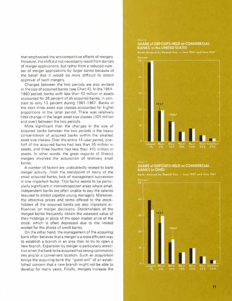that emphasized the anticompetitive effects of mergers. However. the shift did not necessarily result from denials of merger applications, but rather from a reduced number of merger applications by larger banks because of the belief that it would be more difficult to obtain approval of such mergers.

Changes between the two periods are also evident in the size of acquired banks (see Chart 4). In the 1954- 1960 period. banks with less than \$2 million in assets accounted for 26 percent of all acquired banks. in contrast to only 13 percent during 1961-1967. Banks in the next three asset size classes accounted for higher proportions in the latter period. There was relatively little change in the larger asset size classes (\$25 million and over) between the two periods.

More significant than the changes in the size of acquired banks between the two periods is the heavy concentration of acquired banks within the smallest asset size classes. Over the entire 14-year period. onehalf of the acquired banks had less than \$5 million in assets. and three-fourths had less than \$10 million inassets. In other words. the great majority of District mergers involved the acquisition of relatively small banks.

A number of factors are undoubtedly related to bank merger activity. From the standpoint of many of the small acquired banks. lack of management succession is one important factor. This factor seems to be particularly significant in nonmetropolitan areas where small. independent banks are often unable to pay the salaries required to attract capable young managers. Moreover. the attractive prices and terms offered to the stockholders of the acquired banks are also important influences on merger decisions. Stockholders of the merged banks frequently obtain the assessed value of their holdings in place of the open market price of the stock. which is often depressed due to the limited market for the shares of small banks.

On the other hand. the management of the acquiring bank often believes that a merger is a more efficient way to establish a branch in an area than to try to open a new branch. Expansion by merger is particularly attractive when the bank to be acquired has strong community ties and/or a convenient location. Such an acquisitio brings the acquiring bank the "good will" of an established concern that a new branch might not be able to develop for many years. Finally. mergers increase the

## **SHARE of DEPOSITS HELD at COMMERCIAL BANKS in the UNITED STATES**

Chart 6.

Banks Arrayed by Deposit Size - June 1957 and June 1967



### **SHARE of DEPOSITS HELD at COMMERCIAL BANKS in OHIO**

Banks Arrayed by Deposit Size - June 1957 and June 1967

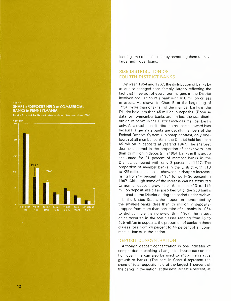#### Chart 8. **SHARE of DEPOSITS HELD at COMMERCIAL BANKS in PENNSYLVANIA**

Banks Arrayed by Deposit Size - June 1957 and June 1967



lending limit of banks, thereby permitting them to make larger individual loans.

# **SIZE DISTRIBUTION OF FOURTH DISTRICT BANKS**

Between 1954 and 1967, the distribution of banks by asset size changed considerably, largely reflecting the fact that three out of every four mergers in the District involved acquisition of a bank with \$10 million or less in assets. As shown in Chart 5, at the beginning of 1954, more than one-half of the member banks in the District held less than \$5 million in deposits. (Because data for nonmember banks are limited, the size distribution of banks in the District includes member banks only. As a result. the distribution has some upward bias because larger state banks are usually members of the Federal Reserve System.) In sharp contrast. only onefourth of all member banks in the District held less than \$5 million in deposits at yearend 1967. The sharpest decline occurred in the proportion of banks with less than \$2 million in deposits. In 1954, banks in this group accounted for 21 percent of member banks in the District. compared with only 3 percent in 1967. The proportion of member banks in the District with \$10 to \$25 million in deposits showed the sharpest increase, rising from 14 percent in 1954 to nearly 30 percent in 1967. Although some of the increase can be attributed to normal deposit growth, banks in the \$10 to \$25 million deposit size class absorbed 54 of the 280 banks acquired in the District during the period under review.

In the United States, the proportion represented by the smallest banks (less than \$2 million in deposits) dropped from more than one-third of all banks in 1954 to slightly more than one-eighth in 1967. The largest gains occurred in the two classes ranging from \$5 to \$25 million in deposits; the proportion of banks in these classes rose from 24 percent to 44 percent of all commercial banks in the nation.

## **DEPOSIT CONCENTRATION**

Although deposit concentration is one indicator of competition in banking, changes in deposit concentration over time can also be used to show the relative growth of banks. (The bars in Chart 6 represent the share of total deposits held at the largest 1 percent of the banks in the nation, at the next largest 4 percent. at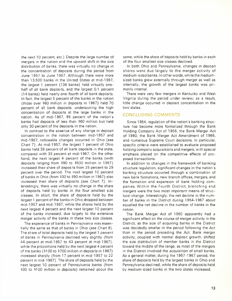the next 10 percent. etc.) Despite the large number of mergers in the nation and the upward shift in the size distribution of banks, there was virtually no change in the concentration of deposits during the period from June 1957 to June 1967. Although there were more than 13,500 banks in the United States at mid-1967. the largest 1 percent (136 banks) held virtually onehalf of all bank deposits, and the largest 0.1 percent (14 banks) held nearly one-fourth of all bank deposits. In fact. the largest 5 percent of the banks in the nation (those over \$60 million in deposits in 1967) held 70 percent of all bank deposits, underscoring the high concentration of deposits at the large banks in the nation. As of mid-1967, 95 percent of the nation's banks had deposits of less than \$60 million but held only 30 percent of the deposits in the nation.

In contrast to the absence of any change in deposit concentration in the nation between mid-1957 and mid-1967, noticeable changes occurred in Ohio (see Chart 7). At mid-1957, the largest 1 percent of Ohio banks held 39 percent of all bank deposits in the state, compared with 33 percent at mid-1967. On the other hand, the next largest 4 percent of the banks (with deposits ranging from \$90 to \$500 million in 1967) increased their share of deposits from 25 percent to 29 percent over the period. The next largest 10 percent of banks in Ohio (from \$30 to \$90 million in 1967) also increased their share of deposits (see Chart 7). Interestingly, there was virtually no change in the share of deposits held by banks in the four smallest size classes. In short. the share of deposits held by the largest 1 percent of the banks in Ohio dropped between mid-1957 and mid-1967, while the shares held by the next largest 4 percent and the next largest 10 percent of the banks increased, due largely to the extensive merger activity of the banks in these two size classes.

The experience of banks in Pennsylvania was essentially the same as that of banks in Ohio (see Chart 8). The share of total deposits held by the largest 1 percent of banks in Pennsylvania declined very slightly (from 44 percent at mid-1957 to 43 percent at mid-1967), while the proportions held by the next largest 4 percent of the banks (\$100 to \$700 million in deposits in 1967) increased sharply (from 17 percent in mid-1957 to 22 percent in mid-1967). The share of deposits held by the next largest 10 percent of Pennsylvania banks (from \$30 to \$100 million in deposits) remained about the

same, while the share of deposits held by banks in each of the four smallest size classes declined.

In both Ohio and Pennsylvania, changes in deposit shares were due largely to the merger activity of medium-sized banks. In other words, while the mediumsized banks grew externally through merger as well as internally, the growth of the largest banks was primarily internal.

There were very few mergers in Kentucky and West Virginia during the period under review; as a result. little change occurred in deposit concentration in the two states.

## **CONCLUDING COMMENTS**

Since 1954, regulation of the nation's banking structure has become more formalized through the Bank Holding Company Act of 1956, the Bank Merger Act of 1960, the Bank Merger Act Amendment of 1966, and numerous Supreme Court decisions. In particular, specific criteria were established to evaluate proposed holding company acquisitions and mergers, with special emphasis placed on the competitive effects of proposed transactions.

In addition to changes in the framework of banking structure regulation, significant changes in the nation's banking structure occurred through a combination of new bank formations, new branch offices, mergers, and the formation and expansion of bank holding companies. Within the Fourth District. branching and mergers were the two most important means of structural change. Interestingly, the net decline in the number of banks in the District during 1954-1967 about equalled the net decline in the number of banks in the nation.

The Bank Merger Act of 1960 apparently had a significant effect on the course of merger activity in the District. as the size of acquiring banks in the District was decidedly smaller in the period following the Act than in the period preceding the Act. Bank merger activity, coupled with normal deposit growth, shifted the size distribution of member banks in the District toward the middle of the range, as most of the mergers in the District involved the acquisition of small banks. As a general matter, during the 1957 -1967 period, the share of deposits held by the largest banks in Ohio and Pennsylvania declined, while the share of deposits held by medium-sized banks in the two states increased.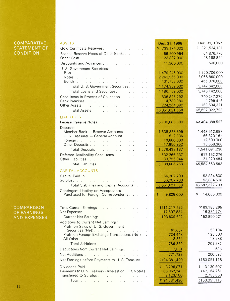# **COMPARATIVE** STATEMENT OF **CONDITION**

|  | <b>COMPARISON</b>   |  |
|--|---------------------|--|
|  | <b>OF EARNINGS</b>  |  |
|  | <b>AND EXPENSES</b> |  |

| <b>ASSETS</b>                                                                                                                                                                                                                      | Dec. 31, 1968                | Dec. 31, 1967                 |
|------------------------------------------------------------------------------------------------------------------------------------------------------------------------------------------------------------------------------------|------------------------------|-------------------------------|
| Gold Certificate Reserves.                                                                                                                                                                                                         | \$739,174,302                | \$921,534,181                 |
| Federal Reserve Notes of Other Banks.                                                                                                                                                                                              | 66,500,994                   | 64,876,776                    |
| Other Cash (et al., a) and a contract and a contract of the Cash of the contract of the Cash of the Cash of the                                                                                                                    | 23,827,000                   | 48,188,824                    |
| Discounts and Advances                                                                                                                                                                                                             | 11,200,000                   | 500,000                       |
| U. S. Government Securities:                                                                                                                                                                                                       |                              |                               |
|                                                                                                                                                                                                                                    | 1,479,245,000                | 1,220,706,000                 |
| Notes                                                                                                                                                                                                                              | 2,263,966,000<br>431,758,000 | 2,056,860,000<br>465,076,000  |
| Bonds<br>Total U. S. Government Securities.                                                                                                                                                                                        | 4,174,969,000                | 3,742,642,000                 |
| Total Loans and Securities.                                                                                                                                                                                                        | 4,186,169,000                | 3,743,142,000                 |
| Cash Items in Process of Collection.                                                                                                                                                                                               | 806,896,292                  | 740,247,276                   |
| Bank Premises                                                                                                                                                                                                                      | 4,789,980                    | 4,799,415                     |
| Other Assets <b>Example 2</b> and the contract the contract of the contract of the contract of the contract of the contract of the contract of the contract of the contract of the contract of the contract of the contract of the | 224,264,090                  | 169,534,321                   |
| Total Assets <b>Fig. 1. Accept and Assets Fig. 1. Accept and Assets</b>                                                                                                                                                            | \$6,051,621,658              | \$5,692,322,793               |
| <b>LIABILITIES</b>                                                                                                                                                                                                                 |                              |                               |
| Federal Reserve Notes                                                                                                                                                                                                              | \$3,700,086,690              | \$3,404,389,597               |
| Deposits:                                                                                                                                                                                                                          |                              |                               |
| Member Bank - Reserve Accounts                                                                                                                                                                                                     | 1,538,328,399                | 1,448,512,687                 |
| U. S. Treasurer - General Account                                                                                                                                                                                                  | 512,836                      | 66,320,161                    |
| Foreign.                                                                                                                                                                                                                           | 19,800,000                   | 12,600,000                    |
| Other Deposits                                                                                                                                                                                                                     | 17,856,952                   | 13,658,388                    |
| Total Deposits and a contract of the state of the state of the state of the state of the state of the state of                                                                                                                     | 1,576,498,187                | 1,541,091,236                 |
| Deferred Availability Cash Items                                                                                                                                                                                                   | 632,266,337                  | 617,152,276                   |
| Other Liabilities                                                                                                                                                                                                                  | 30,755,044                   | 21,920,484<br>\$5,584,553,593 |
| Total Liabilities                                                                                                                                                                                                                  | \$5,939,606,258              |                               |
| <b>CAPITAL ACCOUNTS</b>                                                                                                                                                                                                            |                              |                               |
| Capital Paid In                                                                                                                                                                                                                    | 56,007,700                   | 53,884,600                    |
| Surplus, and a contract of the contract of the contract of the contract of the contract of the contract of the                                                                                                                     | 56,007,700                   | 53,884,600                    |
| Total Liabilities and Capital Accounts                                                                                                                                                                                             | \$6,051,621,658              | \$5,692,322,793               |
| Contingent Liability on Acceptances<br>Purchased for Foreign Correspondents.                                                                                                                                                       | 9,828,000<br>\$              | \$<br>14,085,000              |
|                                                                                                                                                                                                                                    |                              |                               |
|                                                                                                                                                                                                                                    |                              |                               |
| Total Current Earnings                                                                                                                                                                                                             | \$211,217,526                | \$169,185,295                 |
| Net Expenses and a contract the contract of the Network of the Network of the Network of the Network of the Network of the Network of the Network of the Network of the Network of the Network of the Network of the Network o     | 17,607,834                   | 16,334,774                    |
| Current Net Earnings                                                                                                                                                                                                               | 193,609,692                  | 152,850,521                   |
| Additions to Current Net Earnings:<br>Profit on Sales of U. S. Government                                                                                                                                                          |                              |                               |
| Securities (Net).                                                                                                                                                                                                                  | 61,657                       | 59,194                        |
| Profit on Foreign Exchange Transactions (Net). .                                                                                                                                                                                   | 724,448                      | 128,800                       |
| All Other and a subsequently and a subsequently state of the state of the state of the state of the                                                                                                                                | 3,254                        | 13,288                        |
| Total Additions                                                                                                                                                                                                                    | 789,359                      | 201,282                       |
| Deductions from Current Net Earnings.                                                                                                                                                                                              | 17,631                       | 685                           |
| Net Additions                                                                                                                                                                                                                      | 771,728                      | 200,597                       |
| Net Earnings before Payments to U.S. Treasury                                                                                                                                                                                      | \$194,381,420                | \$153,051,118                 |
| Dividends Paid.                                                                                                                                                                                                                    | 3,296,071<br>S.              | 3,130,507<br>\$               |
| Payments to U. S. Treasury (Interest on F. R. Notes).                                                                                                                                                                              | 188,962,249                  | 147, 164, 761                 |
| Transferred to Surplus                                                                                                                                                                                                             | 2,123,100                    | 2,755,850                     |
| Total                                                                                                                                                                                                                              | \$194,381,420                | \$153,051,118                 |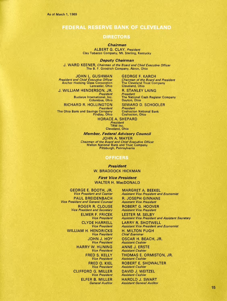# **FEDERAL RESERVE BANK OF CLEVELAND**

#### **DIRECTORS**

#### *Chairman*

ALBERT G. CLAY, *President* Clay Tobacco Company, Mt. Sterling, Kentucky

*Deputy Chairman*

J. WARD KEENER, *Chairman of the Board and Chief Executive Officer* The B. F. Goodrich Company, Akron, Ohio

JOHN L. GUSHMAN *President and Chief Executive Officer* Anchor Hocking Glass Corporation Lancaster, Ohio

J. WILLIAM HENDERSON, JR. *President*

Buckeye International, Inc. Columbus, Ohio

RICHARD R. HOLLINGTON

*President President* The Ohio Bank and Savings Company Coshocton National Bank

GEORGE F. KARCH *Chairman of the Board and President* The Cleveland Trust Company Cleveland, Ohio

R. STANLEY LAING

*President* The National Cash Register Company Dayton, Ohio

SEWARD D. SCHOOLER<br>President Findlay, Ohio Coshocton, Ohio

HORACE A. SHEPARD *President* TRW Inc.

Cleveland, Ohio

*Member, Federal Advisory Council*

JOHN A. MAYER *Chairman of the Board and Chief Executive Officer* Mellon National Bank and Trust Company Pittsburgh, Pennsylvania

#### **OFFICERS**

*President* W. BRADDOCK HICKMAN

*First Vice President* WALTER H. MacDONALD

GEORGE E. BOOTH, JR. *Vice President and Cashier* PAUL BREIDENBACH *Vice President and General Counsel* ROGER R. CLOUSE *Vice President and Secretary* ELMER F. FRICEK *Vice President* CLYDE HARRELL *Vice President* WILLIAM H. HENDRICKS *Vice President* JOHN J. HOY *Vice President* HARRY W. HUNING *Vice President* FRED S. KELLY *Vice President* FRED O. KIEL *Vice President* CLIFFORD G. MILLER *Vice President* ELFER B. MILLER *General Auditor*

MARGRET A. BEEKEL *Assistant Vice President and Economist* R. JOSEPH GINNANE *Assistant Vice President* ROBERT G. HOOVER *Assistant Vice President* LESTER M. SELBY *Assistant Vice President and Assistant Secretary* LARRY R. SHOTWELL *Assistant Vice President and Economist* H. MILTON PUGH *Chief Examiner* OSCAR H. BEACH, JR. *Assistant Cashier* ANNE J. ERSTE *Assistant Cashier* THOMAS E. ORMISTON, JR. *Assistant Cashier* ROBERT E. SHOWALTER *Assistant Cashier* DAVID J. WEITZEL *Assistant Cashier* HAROLD J. SWART *Assistant General Auditor*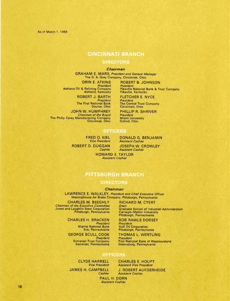As of March 1, 1969

# **CINCINNATI BRANCH**

#### **DIRECTORS**

#### *Chairman*

GRAHAM E. MARX, *President and General Manager* The G. A. Gray Company, Cincinnati, Ohio

*Presiden<br>Ashland Oil & Refining Compan* Ashland, Kentucky

> ROBERT J. BARTH *President* The First National Bank Dayton, Ohio

JOHN W. HUMPHREY *Chairman of the Board* The Philip Carey Manufacturing Company Cincinnati, Ohio

ORIN E. ATKINS ROBERT B. JOHNSON

*President* Pikeville National Bank & Trust Company Pikeville, Kentucky

FLETCHER E. NYCE *President* The Central Trust Company Cincinnati, Ohio

PHILLIP R. SHRIVER

*President*<br>Miami Universit<br>Oxford, Ohio

## **OFFICERS**

FRED O. KIEL *Vice President* ROBERT D. DUGGAN *Cashier*

DONALD G. BENJAMIN *Assistant Cashier* JOSEPH W. CROWLEY

*Assistant Cashier* HOWARD E. TAYLOR *Assistant Cashier*

# **PITTSBURGH BRANCH**

## **DIRECTORS**

#### *Chairman*

LAWRENCE E. WALKLEY, *President and Chief Executive Officer* Westinghouse Air Brake Company, Pittsburgh, Pennsylvania

CHARLES M. BEEGHLY *Chairman of the Executive Committee* Jones and Laughlin Steel Corporation Pittsburgh, Pennsylvania

> CHARLES H. BRACKEN *Presiden<br>Ma*rine National Bank Erie, Pennsylvania

GEORGE SCULL COOK *President* Somerset Trust Company Somerset, Pennsylvania RICHARD M. CYERT

*Dean* Graduate School of Industrial Administration Carnegie-Mellon University Pittsburgh, Pennsylvania

BOB RAWLS DORSEY *President* Gulf Oil Corporation Pittsburgh, Pennsylvania

THOMAS L. WENTLING *President* First National Bank of Westmoreland Greensburg, Pennsylvania

# **OFFICERS**

CLYDE HARRELL *Vice President* JAMES H. CAMPBELL *Cashier*

CHARLES E. HOUPT *Assistant Vice President*

J. ROBERT AUFDERHEIDE *Assistant Cashier*

PAUL H. DORN *Assistant Cashier*